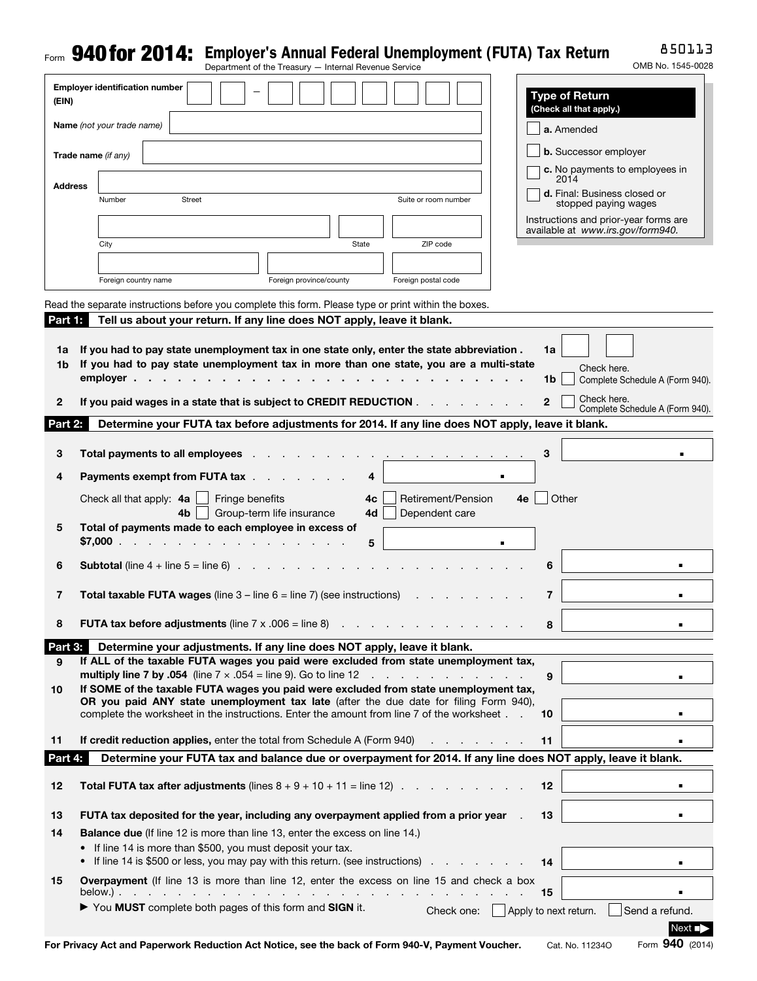# Form **940 for 2014:** Employer's Annual Federal Unemployment (FUTA) Tax Return Department of the Treasury – Internal Revenue Service

850113

| OMB No. 1545-0028 |
|-------------------|
|                   |

| (EIN)                    | <b>Employer identification number</b>                                                                                                                                                                                                                      | <b>Type of Return</b><br>(Check all that apply.)                                                                                                                                                                                                                                                                                                                                          |
|--------------------------|------------------------------------------------------------------------------------------------------------------------------------------------------------------------------------------------------------------------------------------------------------|-------------------------------------------------------------------------------------------------------------------------------------------------------------------------------------------------------------------------------------------------------------------------------------------------------------------------------------------------------------------------------------------|
|                          | Name (not your trade name)                                                                                                                                                                                                                                 | a. Amended                                                                                                                                                                                                                                                                                                                                                                                |
|                          | Trade name (if any)                                                                                                                                                                                                                                        | <b>b.</b> Successor employer                                                                                                                                                                                                                                                                                                                                                              |
| <b>Address</b>           |                                                                                                                                                                                                                                                            | c. No payments to employees in<br>2014                                                                                                                                                                                                                                                                                                                                                    |
|                          | Number<br>Street                                                                                                                                                                                                                                           | d. Final: Business closed or<br>Suite or room number<br>stopped paying wages                                                                                                                                                                                                                                                                                                              |
|                          |                                                                                                                                                                                                                                                            | Instructions and prior-year forms are<br>available at www.irs.gov/form940.                                                                                                                                                                                                                                                                                                                |
|                          | City                                                                                                                                                                                                                                                       | ZIP code<br>State                                                                                                                                                                                                                                                                                                                                                                         |
|                          |                                                                                                                                                                                                                                                            |                                                                                                                                                                                                                                                                                                                                                                                           |
|                          | Foreign country name                                                                                                                                                                                                                                       | Foreign province/county<br>Foreign postal code                                                                                                                                                                                                                                                                                                                                            |
| <b>Part 1:</b> 1         |                                                                                                                                                                                                                                                            | Read the separate instructions before you complete this form. Please type or print within the boxes.<br>Tell us about your return. If any line does NOT apply, leave it blank.                                                                                                                                                                                                            |
| 1a<br>1b<br>$\mathbf{2}$ | $emplover \cdot \cdot \cdot \cdot \cdot \cdot \cdot \cdot$                                                                                                                                                                                                 | If you had to pay state unemployment tax in one state only, enter the state abbreviation.<br>1a<br>If you had to pay state unemployment tax in more than one state, you are a multi-state<br>Check here.<br>1b<br>Complete Schedule A (Form 940).<br>Check here.<br>If you paid wages in a state that is subject to CREDIT REDUCTION<br>$\overline{2}$<br>Complete Schedule A (Form 940). |
| Part 2:                  |                                                                                                                                                                                                                                                            | Determine your FUTA tax before adjustments for 2014. If any line does NOT apply, leave it blank.                                                                                                                                                                                                                                                                                          |
| 3                        | Total payments to all employees.                                                                                                                                                                                                                           | 3<br>the contract of the contract of the con-                                                                                                                                                                                                                                                                                                                                             |
| 4                        | <b>Payments exempt from FUTA tax</b>                                                                                                                                                                                                                       | 4                                                                                                                                                                                                                                                                                                                                                                                         |
|                          | Fringe benefits<br>Check all that apply: 4a                                                                                                                                                                                                                | Retirement/Pension<br>Other<br>4c<br>4e                                                                                                                                                                                                                                                                                                                                                   |
| 5                        | 4b<br>Total of payments made to each employee in excess of<br>\$7,000 $\cdots$                                                                                                                                                                             | Group-term life insurance<br>4d<br>Dependent care<br>5                                                                                                                                                                                                                                                                                                                                    |
| 6                        | <b>Subtotal</b> (line $4 +$ line $5 =$ line 6).                                                                                                                                                                                                            | and a state of the state of the state of<br>6                                                                                                                                                                                                                                                                                                                                             |
| 7                        | <b>Total taxable FUTA wages</b> (line $3 -$ line $6 =$ line 7) (see instructions)                                                                                                                                                                          | 7                                                                                                                                                                                                                                                                                                                                                                                         |
| 8                        | <b>FUTA tax before adjustments</b> (line $7 \times .006 =$ line 8)                                                                                                                                                                                         | 8<br>the contract of the contract of the contract of the contract of the contract of the contract of the contract of                                                                                                                                                                                                                                                                      |
| Part 3:                  |                                                                                                                                                                                                                                                            | Determine your adjustments. If any line does NOT apply, leave it blank.                                                                                                                                                                                                                                                                                                                   |
| 9                        | <b>multiply line 7 by .054</b> (line $7 \times .054 =$ line 9). Go to line 12                                                                                                                                                                              | If ALL of the taxable FUTA wages you paid were excluded from state unemployment tax,<br>the contract of the contract of the con-<br>9                                                                                                                                                                                                                                                     |
| 10                       |                                                                                                                                                                                                                                                            | If SOME of the taxable FUTA wages you paid were excluded from state unemployment tax,<br>OR you paid ANY state unemployment tax late (after the due date for filing Form 940),<br>complete the worksheet in the instructions. Enter the amount from line 7 of the worksheet<br>10<br>$\blacksquare$                                                                                       |
| 11                       | <b>If credit reduction applies, enter the total from Schedule A (Form 940)</b>                                                                                                                                                                             | 11                                                                                                                                                                                                                                                                                                                                                                                        |
| Part 4:                  |                                                                                                                                                                                                                                                            | Determine your FUTA tax and balance due or overpayment for 2014. If any line does NOT apply, leave it blank.                                                                                                                                                                                                                                                                              |
| 12                       | <b>Total FUTA tax after adjustments</b> (lines $8 + 9 + 10 + 11 =$ line 12).                                                                                                                                                                               | 12                                                                                                                                                                                                                                                                                                                                                                                        |
| 13                       |                                                                                                                                                                                                                                                            | FUTA tax deposited for the year, including any overpayment applied from a prior year<br>13                                                                                                                                                                                                                                                                                                |
| 14                       | <b>Balance due</b> (If line 12 is more than line 13, enter the excess on line 14.)<br>If line 14 is more than \$500, you must deposit your tax.<br>$\bullet$<br>If line 14 is \$500 or less, you may pay with this return. (see instructions)<br>$\bullet$ | 14                                                                                                                                                                                                                                                                                                                                                                                        |
| 15                       |                                                                                                                                                                                                                                                            | Overpayment (If line 13 is more than line 12, enter the excess on line 15 and check a box<br>15                                                                                                                                                                                                                                                                                           |
|                          | You MUST complete both pages of this form and SIGN it.                                                                                                                                                                                                     | Apply to next return.<br>Send a refund.<br>Check one:                                                                                                                                                                                                                                                                                                                                     |
|                          |                                                                                                                                                                                                                                                            | Next ∎i<br>Form 940 (2014)<br>For Privacy Act and Paperwork Reduction Act Notice, see the back of Form 940-V, Payment Voucher.<br>Cat. No. 11234O                                                                                                                                                                                                                                         |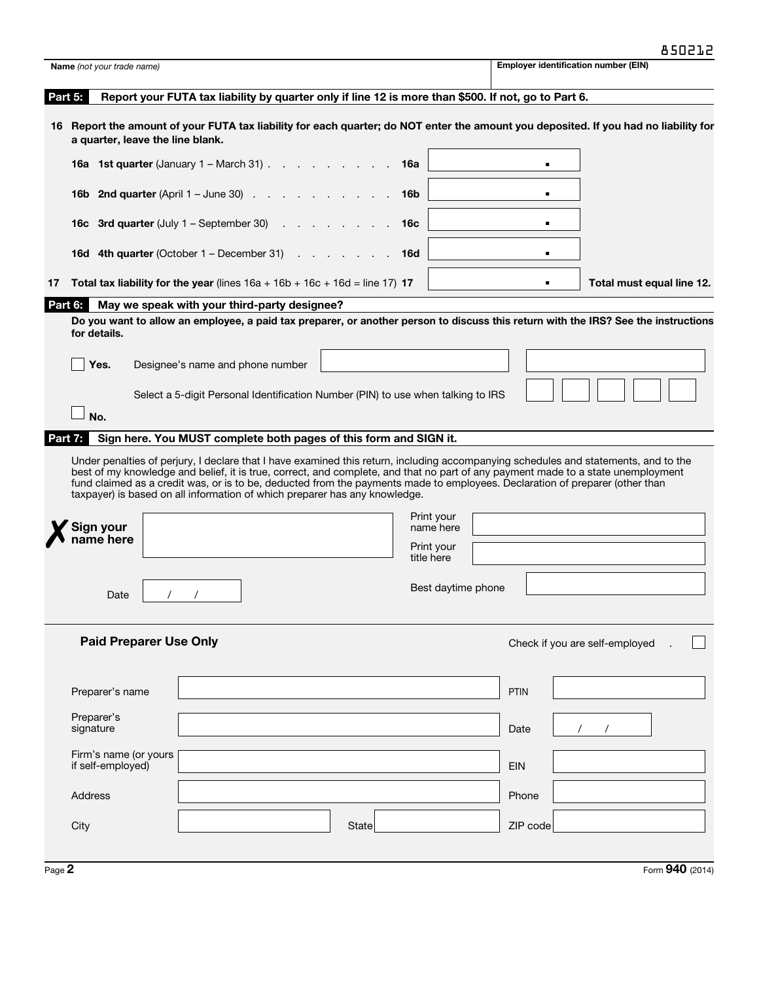| Name (not your trade name)                                                                                                                                                                                                                                                                                                                     |                                  |                                              |                                                                                                                                     |            |                          |             |                |  |                                |                           |
|------------------------------------------------------------------------------------------------------------------------------------------------------------------------------------------------------------------------------------------------------------------------------------------------------------------------------------------------|----------------------------------|----------------------------------------------|-------------------------------------------------------------------------------------------------------------------------------------|------------|--------------------------|-------------|----------------|--|--------------------------------|---------------------------|
| Part 5:                                                                                                                                                                                                                                                                                                                                        |                                  |                                              | Report your FUTA tax liability by quarter only if line 12 is more than \$500. If not, go to Part 6.                                 |            |                          |             |                |  |                                |                           |
| 16 Report the amount of your FUTA tax liability for each quarter; do NOT enter the amount you deposited. If you had no liability for<br>a quarter, leave the line blank.                                                                                                                                                                       |                                  |                                              |                                                                                                                                     |            |                          |             |                |  |                                |                           |
| 16a 1st quarter (January 1 - March 31)                                                                                                                                                                                                                                                                                                         |                                  |                                              |                                                                                                                                     | 16a        |                          |             |                |  |                                |                           |
| <b>16b 2nd quarter</b> (April $1 -$ June 30) $\ldots$ $\ldots$ $\ldots$ $\ldots$                                                                                                                                                                                                                                                               |                                  |                                              |                                                                                                                                     | 16b        |                          |             |                |  |                                |                           |
| <b>16c</b> 3rd quarter (July $1 -$ September 30) $\ldots$ $\ldots$ $\ldots$                                                                                                                                                                                                                                                                    |                                  |                                              |                                                                                                                                     | 16c        |                          |             |                |  |                                |                           |
| <b>16d 4th quarter</b> (October $1 -$ December 31) $\ldots$ $\ldots$                                                                                                                                                                                                                                                                           |                                  |                                              |                                                                                                                                     | <b>16d</b> |                          |             | $\blacksquare$ |  |                                |                           |
| <b>Total tax liability for the year</b> (lines $16a + 16b + 16c + 16d =$ line 17) <b>17</b>                                                                                                                                                                                                                                                    |                                  |                                              |                                                                                                                                     |            |                          |             | $\blacksquare$ |  |                                | Total must equal line 12. |
| Part 6:<br>for details.                                                                                                                                                                                                                                                                                                                        |                                  | May we speak with your third-party designee? | Do you want to allow an employee, a paid tax preparer, or another person to discuss this return with the IRS? See the instructions  |            |                          |             |                |  |                                |                           |
| Yes.                                                                                                                                                                                                                                                                                                                                           | Designee's name and phone number |                                              |                                                                                                                                     |            |                          |             |                |  |                                |                           |
|                                                                                                                                                                                                                                                                                                                                                |                                  |                                              | Select a 5-digit Personal Identification Number (PIN) to use when talking to IRS                                                    |            |                          |             |                |  |                                |                           |
| No.                                                                                                                                                                                                                                                                                                                                            |                                  |                                              |                                                                                                                                     |            |                          |             |                |  |                                |                           |
|                                                                                                                                                                                                                                                                                                                                                |                                  |                                              |                                                                                                                                     |            |                          |             |                |  |                                |                           |
| Part 7:                                                                                                                                                                                                                                                                                                                                        |                                  |                                              | Sign here. You MUST complete both pages of this form and SIGN it.                                                                   |            |                          |             |                |  |                                |                           |
| best of my knowledge and belief, it is true, correct, and complete, and that no part of any payment made to a state unemployment<br>fund claimed as a credit was, or is to be, deducted from the payments made to employees. Declaration of preparer (other than<br>taxpayer) is based on all information of which preparer has any knowledge. |                                  |                                              | Under penalties of perjury, I declare that I have examined this return, including accompanying schedules and statements, and to the |            |                          |             |                |  |                                |                           |
| Sign your                                                                                                                                                                                                                                                                                                                                      |                                  |                                              |                                                                                                                                     |            | Print your<br>name here  |             |                |  |                                |                           |
| name here                                                                                                                                                                                                                                                                                                                                      |                                  |                                              |                                                                                                                                     |            | Print your<br>title here |             |                |  |                                |                           |
| Date                                                                                                                                                                                                                                                                                                                                           |                                  |                                              |                                                                                                                                     |            | Best daytime phone       |             |                |  |                                |                           |
| <b>Paid Preparer Use Only</b>                                                                                                                                                                                                                                                                                                                  |                                  |                                              |                                                                                                                                     |            |                          |             |                |  | Check if you are self-employed |                           |
| Preparer's name                                                                                                                                                                                                                                                                                                                                |                                  |                                              |                                                                                                                                     |            |                          | <b>PTIN</b> |                |  |                                |                           |
| Preparer's<br>signature                                                                                                                                                                                                                                                                                                                        |                                  |                                              |                                                                                                                                     |            |                          |             | Date           |  |                                |                           |
| Firm's name (or yours<br>if self-employed)                                                                                                                                                                                                                                                                                                     |                                  |                                              |                                                                                                                                     |            |                          | <b>EIN</b>  |                |  |                                |                           |
| <b>Address</b>                                                                                                                                                                                                                                                                                                                                 |                                  |                                              |                                                                                                                                     |            |                          |             | Phone          |  |                                |                           |
| City                                                                                                                                                                                                                                                                                                                                           |                                  |                                              | <b>State</b>                                                                                                                        |            |                          |             | ZIP code       |  |                                |                           |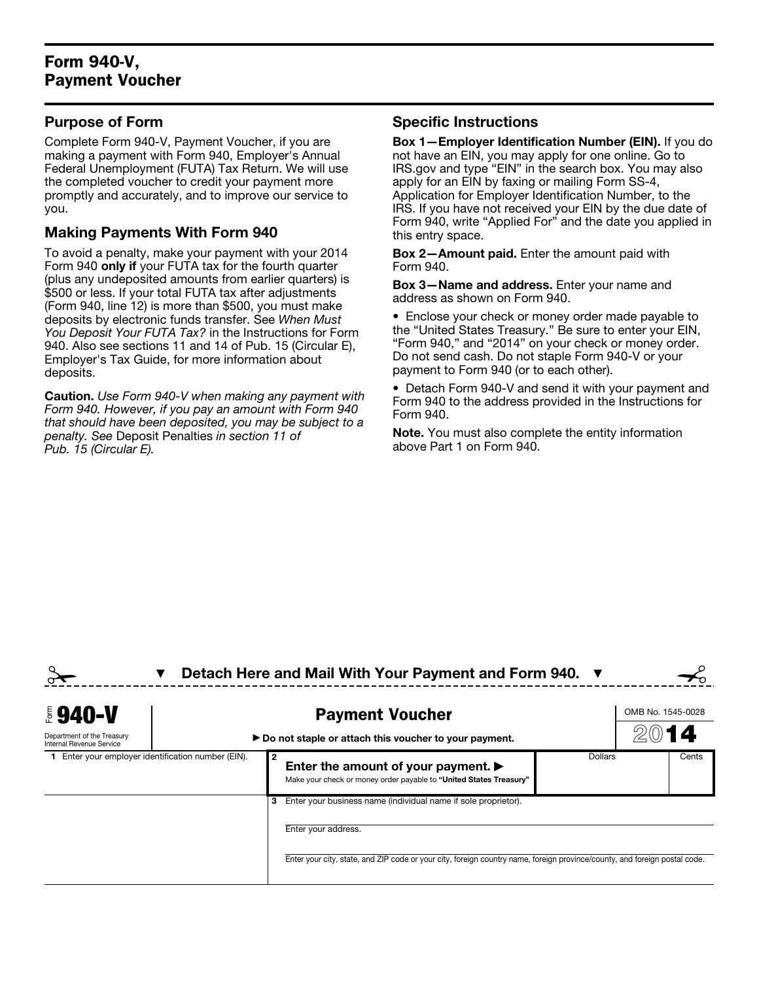## Form 940-V, Payment Voucher

#### Purpose of Form

Complete Form 940-V, Payment Voucher, if you are making a payment with Form 940, Employer's Annual Federal Unemployment (FUTA) Tax Return. We will use the completed voucher to credit your payment more promptly and accurately, and to improve our service to you.

### Making Payments With Form 940

To avoid a penalty, make your payment with your 2014 Form 940 only if your FUTA tax for the fourth quarter (plus any undeposited amounts from earlier quarters) is \$500 or less. If your total FUTA tax after adjustments (Form 940, line 12) is more than \$500, you must make deposits by electronic funds transfer. See *When Must You Deposit Your FUTA Tax?* in the Instructions for Form 940. Also see sections 11 and 14 of Pub. 15 (Circular E), Employer's Tax Guide, for more information about deposits.

Caution. *Use Form 940-V when making any payment with Form 940. However, if you pay an amount with Form 940 that should have been deposited, you may be subject to a penalty. See* Deposit Penalties *in section 11 of Pub. 15 (Circular E).*

#### Specific Instructions

Box 1—Employer Identification Number (EIN). If you do not have an EIN, you may apply for one online. Go to IRS.gov and type "EIN" in the search box. You may also apply for an EIN by faxing or mailing Form SS-4, Application for Employer Identification Number, to the IRS. If you have not received your EIN by the due date of Form 940, write "Applied For" and the date you applied in this entry space.

Box 2—Amount paid. Enter the amount paid with Form 940.

Box 3—Name and address. Enter your name and address as shown on Form 940.

• Enclose your check or money order made payable to the "United States Treasury." Be sure to enter your EIN, "Form 940," and "2014" on your check or money order. Do not send cash. Do not staple Form 940-V or your payment to Form 940 (or to each other).

• Detach Form 940-V and send it with your payment and Form 940 to the address provided in the Instructions for Form 940.

Note. You must also complete the entity information above Part 1 on Form 940.

|                                                        |                                                                                 | Detach Here and Mail With Your Payment and Form 940. ▼                                                                        |         |       |
|--------------------------------------------------------|---------------------------------------------------------------------------------|-------------------------------------------------------------------------------------------------------------------------------|---------|-------|
| <b>E</b> 940-V                                         | <b>Payment Voucher</b><br>Do not staple or attach this voucher to your payment. |                                                                                                                               |         |       |
| Department of the Treasury<br>Internal Revenue Service |                                                                                 |                                                                                                                               |         |       |
| 1 Enter your employer identification number (EIN).     |                                                                                 | Enter the amount of your payment. $\blacktriangleright$<br>Make your check or money order payable to "United States Treasury" | Dollars | Cents |
|                                                        |                                                                                 | Enter your business name (individual name if sole proprietor).                                                                |         |       |

Enter your address.

Enter your city, state, and ZIP code or your city, foreign country name, foreign province/county, and foreign postal code.